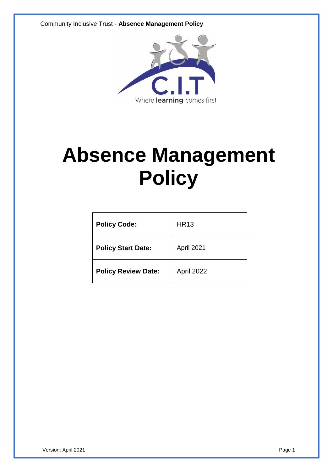

# **Absence Management Policy**

| <b>Policy Code:</b>        | <b>HR13</b> |
|----------------------------|-------------|
| <b>Policy Start Date:</b>  | April 2021  |
| <b>Policy Review Date:</b> | April 2022  |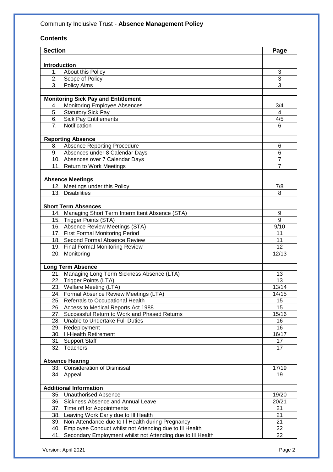# **Contents**

| <b>Section</b>      |                                                                                        | Page           |
|---------------------|----------------------------------------------------------------------------------------|----------------|
|                     |                                                                                        |                |
| <b>Introduction</b> |                                                                                        |                |
| 1 <sub>1</sub>      | About this Policy                                                                      | 3              |
| 2.                  | Scope of Policy                                                                        | 3              |
| 3.                  | Policy Aims                                                                            | 3              |
|                     |                                                                                        |                |
|                     | <b>Monitoring Sick Pay and Entitlement</b>                                             |                |
| 4.                  | Monitoring Employee Absences                                                           | 3/4            |
| 5.                  | <b>Statutory Sick Pay</b>                                                              | 4              |
| 6.                  | <b>Sick Pay Entitlements</b>                                                           | 4/5            |
| 7.                  | Notification                                                                           | 6              |
|                     |                                                                                        |                |
| 8.                  | <b>Reporting Absence</b><br><b>Absence Reporting Procedure</b>                         | 6              |
| 9.                  | Absences under 8 Calendar Days                                                         | 6              |
|                     | 10. Absences over 7 Calendar Days                                                      | $\overline{7}$ |
|                     | 11. Return to Work Meetings                                                            | $\overline{7}$ |
|                     |                                                                                        |                |
|                     | <b>Absence Meetings</b>                                                                |                |
|                     | 12. Meetings under this Policy                                                         | 7/8            |
|                     | 13. Disabilities                                                                       | 8              |
|                     |                                                                                        |                |
|                     | <b>Short Term Absences</b>                                                             |                |
|                     | 14. Managing Short Term Intermittent Absence (STA)                                     | 9              |
|                     | 15. Trigger Points (STA)                                                               | 9              |
|                     | 16. Absence Review Meetings (STA)                                                      | 9/10           |
|                     | 17. First Formal Monitoring Period                                                     | 11             |
|                     | 18. Second Formal Absence Review                                                       | 11             |
|                     | 19. Final Formal Monitoring Review                                                     | 12             |
|                     | 20. Monitoring                                                                         | 12/13          |
|                     |                                                                                        |                |
|                     | <b>Long Term Absence</b>                                                               |                |
|                     | 21. Managing Long Term Sickness Absence (LTA)                                          | 13             |
|                     | 22. Trigger Points (LTA)                                                               | 13             |
|                     | 23. Welfare Meeting (LTA)                                                              | 13/14          |
|                     | 24. Formal Absence Review Meetings (LTA)                                               | 14/15          |
|                     | 25. Referrals to Occupational Health                                                   | 15<br>15       |
| 27.                 | 26. Access to Medical Reports Act 1988<br>Successful Return to Work and Phased Returns | 15/16          |
|                     | 28. Unable to Undertake Full Duties                                                    | 16             |
|                     | 29. Redeployment                                                                       | 16             |
|                     | 30. Ill-Health Retirement                                                              | 16/17          |
|                     | 31. Support Staff                                                                      | 17             |
|                     | 32. Teachers                                                                           | 17             |
|                     |                                                                                        |                |
|                     | <b>Absence Hearing</b>                                                                 |                |
|                     | 33. Consideration of Dismissal                                                         | 17/19          |
|                     | 34. Appeal                                                                             | 19             |
|                     |                                                                                        |                |
|                     | <b>Additional Information</b>                                                          |                |
|                     | 35. Unauthorised Absence                                                               | 19/20          |
| 36.                 | Sickness Absence and Annual Leave                                                      | 20/21          |
|                     | 37. Time off for Appointments                                                          | 21             |
| 38.                 | Leaving Work Early due to III Health                                                   | 21             |
| 39.                 | Non-Attendance due to III Health during Pregnancy                                      | 21             |
| 40.                 | Employee Conduct whilst not Attending due to III Health                                | 22             |
| 41.                 | Secondary Employment whilst not Attending due to III Health                            | 22             |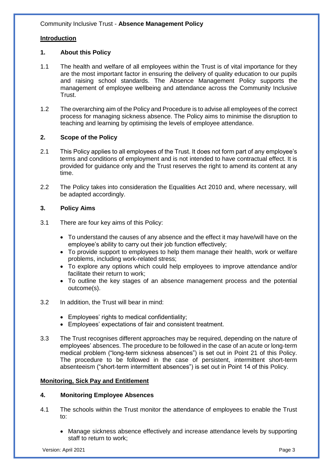# **Introduction**

# **1. About this Policy**

- 1.1 The health and welfare of all employees within the Trust is of vital importance for they are the most important factor in ensuring the delivery of quality education to our pupils and raising school standards. The Absence Management Policy supports the management of employee wellbeing and attendance across the Community Inclusive Trust.
- 1.2 The overarching aim of the Policy and Procedure is to advise all employees of the correct process for managing sickness absence. The Policy aims to minimise the disruption to teaching and learning by optimising the levels of employee attendance.

# **2. Scope of the Policy**

- 2.1 This Policy applies to all employees of the Trust. It does not form part of any employee's terms and conditions of employment and is not intended to have contractual effect. It is provided for guidance only and the Trust reserves the right to amend its content at any time.
- 2.2 The Policy takes into consideration the Equalities Act 2010 and, where necessary, will be adapted accordingly.

# **3. Policy Aims**

- 3.1 There are four key aims of this Policy:
	- To understand the causes of any absence and the effect it may have/will have on the employee's ability to carry out their job function effectively;
	- To provide support to employees to help them manage their health, work or welfare problems, including work-related stress;
	- To explore any options which could help employees to improve attendance and/or facilitate their return to work;
	- To outline the key stages of an absence management process and the potential outcome(s).
- 3.2 In addition, the Trust will bear in mind:
	- Employees' rights to medical confidentiality;
	- Employees' expectations of fair and consistent treatment.
- 3.3 The Trust recognises different approaches may be required, depending on the nature of employees' absences. The procedure to be followed in the case of an acute or long-term medical problem ("long-term sickness absences") is set out in Point 21 of this Policy. The procedure to be followed in the case of persistent, intermittent short-term absenteeism ("short-term intermittent absences") is set out in Point 14 of this Policy.

# **Monitoring, Sick Pay and Entitlement**

# **4. Monitoring Employee Absences**

- 4.1 The schools within the Trust monitor the attendance of employees to enable the Trust to:
	- Manage sickness absence effectively and increase attendance levels by supporting staff to return to work;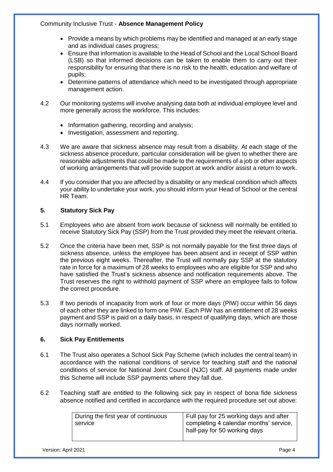- Provide a means by which problems may be identified and managed at an early stage and as individual cases progress;
- Ensure that information is available to the Head of School and the Local School Board (LSB) so that informed decisions can be taken to enable them to carry out their responsibility for ensuring that there is no risk to the health, education and welfare of pupils;
- Determine patterns of attendance which need to be investigated through appropriate management action.
- 4.2 Our monitoring systems will involve analysing data both at individual employee level and more generally across the workforce. This includes:
	- Information gathering, recording and analysis;
	- Investigation, assessment and reporting.
- 4.3 We are aware that sickness absence may result from a disability. At each stage of the sickness absence procedure, particular consideration will be given to whether there are reasonable adjustments that could be made to the requirements of a job or other aspects of working arrangements that will provide support at work and/or assist a return to work.
- 4.4 If you consider that you are affected by a disability or any medical condition which affects your ability to undertake your work, you should inform your Head of School or the central HR Team.

# **5. Statutory Sick Pay**

- 5.1 Employees who are absent from work because of sickness will normally be entitled to receive Statutory Sick Pay (SSP) from the Trust provided they meet the relevant criteria.
- 5.2 Once the criteria have been met, SSP is not normally payable for the first three days of sickness absence, unless the employee has been absent and in receipt of SSP within the previous eight weeks. Thereafter, the Trust will normally pay SSP at the statutory rate in force for a maximum of 28 weeks to employees who are eligible for SSP and who have satisfied the Trust's sickness absence and notification requirements above. The Trust reserves the right to withhold payment of SSP where an employee fails to follow the correct procedure.
- 5.3 If two periods of incapacity from work of four or more days (PIW) occur within 56 days of each other they are linked to form one PIW. Each PIW has an entitlement of 28 weeks payment and SSP is paid on a daily basis, in respect of qualifying days, which are those days normally worked.

# **6. Sick Pay Entitlements**

- 6.1 The Trust also operates a School Sick Pay Scheme (which includes the central team) in accordance with the national conditions of service for teaching staff and the national conditions of service for National Joint Council (NJC) staff. All payments made under this Scheme will include SSP payments where they fall due.
- 6.2 Teaching staff are entitled to the following sick pay in respect of bona fide sickness absence notified and certified in accordance with the required procedure set out above:

| During the first year of continuous | Full pay for 25 working days and after |
|-------------------------------------|----------------------------------------|
| service                             | completing 4 calendar months' service, |
|                                     | half-pay for 50 working days           |
|                                     |                                        |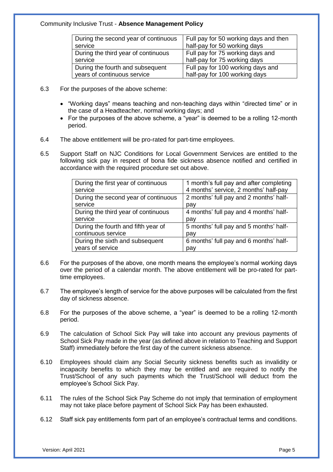| During the second year of continuous | Full pay for 50 working days and then |
|--------------------------------------|---------------------------------------|
| service                              | half-pay for 50 working days          |
| During the third year of continuous  | Full pay for 75 working days and      |
| service                              | half-pay for 75 working days          |
| During the fourth and subsequent     | Full pay for 100 working days and     |
| years of continuous service          | half-pay for 100 working days         |

- 6.3 For the purposes of the above scheme:
	- "Working days" means teaching and non-teaching days within "directed time" or in the case of a Headteacher, normal working days; and
	- For the purposes of the above scheme, a "year" is deemed to be a rolling 12-month period.
- 6.4 The above entitlement will be pro-rated for part-time employees.
- 6.5 Support Staff on NJC Conditions for Local Government Services are entitled to the following sick pay in respect of bona fide sickness absence notified and certified in accordance with the required procedure set out above.

| During the first year of continuous  | 1 month's full pay and after completing |
|--------------------------------------|-----------------------------------------|
| service                              | 4 months' service, 2 months' half-pay   |
| During the second year of continuous | 2 months' full pay and 2 months' half-  |
| service                              | pay                                     |
| During the third year of continuous  | 4 months' full pay and 4 months' half-  |
| service                              | pay                                     |
| During the fourth and fifth year of  | 5 months' full pay and 5 months' half-  |
| continuous service                   | pay                                     |
| During the sixth and subsequent      | 6 months' full pay and 6 months' half-  |
| years of service                     | pay                                     |

- 6.6 For the purposes of the above, one month means the employee's normal working days over the period of a calendar month. The above entitlement will be pro-rated for parttime employees.
- 6.7 The employee's length of service for the above purposes will be calculated from the first day of sickness absence.
- 6.8 For the purposes of the above scheme, a "year" is deemed to be a rolling 12-month period.
- 6.9 The calculation of School Sick Pay will take into account any previous payments of School Sick Pay made in the year (as defined above in relation to Teaching and Support Staff) immediately before the first day of the current sickness absence.
- 6.10 Employees should claim any Social Security sickness benefits such as invalidity or incapacity benefits to which they may be entitled and are required to notify the Trust/School of any such payments which the Trust/School will deduct from the employee's School Sick Pay.
- 6.11 The rules of the School Sick Pay Scheme do not imply that termination of employment may not take place before payment of School Sick Pay has been exhausted.
- 6.12 Staff sick pay entitlements form part of an employee's contractual terms and conditions.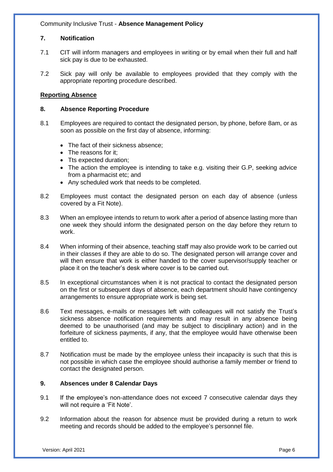# **7. Notification**

- 7.1 CIT will inform managers and employees in writing or by email when their full and half sick pay is due to be exhausted.
- 7.2 Sick pay will only be available to employees provided that they comply with the appropriate reporting procedure described.

# **Reporting Absence**

# **8. Absence Reporting Procedure**

- 8.1 Employees are required to contact the designated person, by phone, before 8am, or as soon as possible on the first day of absence, informing:
	- The fact of their sickness absence:
	- The reasons for it:
	- Tts expected duration;
	- The action the employee is intending to take e.g. visiting their G.P, seeking advice from a pharmacist etc; and
	- Any scheduled work that needs to be completed.
- 8.2 Employees must contact the designated person on each day of absence (unless covered by a Fit Note).
- 8.3 When an employee intends to return to work after a period of absence lasting more than one week they should inform the designated person on the day before they return to work.
- 8.4 When informing of their absence, teaching staff may also provide work to be carried out in their classes if they are able to do so. The designated person will arrange cover and will then ensure that work is either handed to the cover supervisor/supply teacher or place it on the teacher's desk where cover is to be carried out.
- 8.5 In exceptional circumstances when it is not practical to contact the designated person on the first or subsequent days of absence, each department should have contingency arrangements to ensure appropriate work is being set.
- 8.6 Text messages, e-mails or messages left with colleagues will not satisfy the Trust's sickness absence notification requirements and may result in any absence being deemed to be unauthorised (and may be subject to disciplinary action) and in the forfeiture of sickness payments, if any, that the employee would have otherwise been entitled to.
- 8.7 Notification must be made by the employee unless their incapacity is such that this is not possible in which case the employee should authorise a family member or friend to contact the designated person.

# **9. Absences under 8 Calendar Days**

- 9.1 If the employee's non-attendance does not exceed 7 consecutive calendar days they will not require a 'Fit Note'.
- 9.2 Information about the reason for absence must be provided during a return to work meeting and records should be added to the employee's personnel file.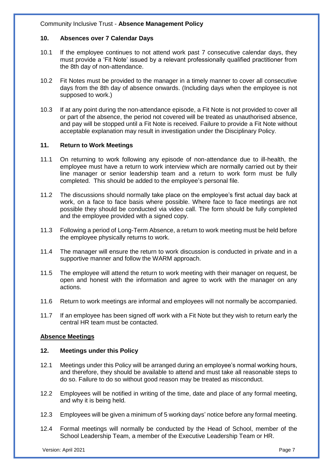## **10. Absences over 7 Calendar Days**

- 10.1 If the employee continues to not attend work past 7 consecutive calendar days, they must provide a 'Fit Note' issued by a relevant professionally qualified practitioner from the 8th day of non-attendance.
- 10.2 Fit Notes must be provided to the manager in a timely manner to cover all consecutive days from the 8th day of absence onwards. (Including days when the employee is not supposed to work.)
- 10.3 If at any point during the non-attendance episode, a Fit Note is not provided to cover all or part of the absence, the period not covered will be treated as unauthorised absence, and pay will be stopped until a Fit Note is received. Failure to provide a Fit Note without acceptable explanation may result in investigation under the Disciplinary Policy.

# **11. Return to Work Meetings**

- 11.1 On returning to work following any episode of non-attendance due to ill-health, the employee must have a return to work interview which are normally carried out by their line manager or senior leadership team and a return to work form must be fully completed. This should be added to the employee's personal file.
- 11.2 The discussions should normally take place on the employee's first actual day back at work, on a face to face basis where possible. Where face to face meetings are not possible they should be conducted via video call. The form should be fully completed and the employee provided with a signed copy.
- 11.3 Following a period of Long-Term Absence, a return to work meeting must be held before the employee physically returns to work.
- 11.4 The manager will ensure the return to work discussion is conducted in private and in a supportive manner and follow the WARM approach.
- 11.5 The employee will attend the return to work meeting with their manager on request, be open and honest with the information and agree to work with the manager on any actions.
- 11.6 Return to work meetings are informal and employees will not normally be accompanied.
- 11.7 If an employee has been signed off work with a Fit Note but they wish to return early the central HR team must be contacted.

#### **Absence Meetings**

#### **12. Meetings under this Policy**

- 12.1 Meetings under this Policy will be arranged during an employee's normal working hours, and therefore, they should be available to attend and must take all reasonable steps to do so. Failure to do so without good reason may be treated as misconduct.
- 12.2 Employees will be notified in writing of the time, date and place of any formal meeting, and why it is being held.
- 12.3 Employees will be given a minimum of 5 working days' notice before any formal meeting.
- 12.4 Formal meetings will normally be conducted by the Head of School, member of the School Leadership Team, a member of the Executive Leadership Team or HR.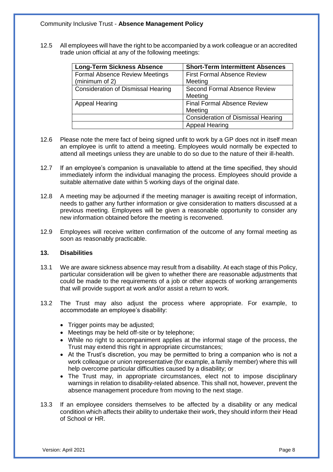12.5 All employees will have the right to be accompanied by a work colleague or an accredited trade union official at any of the following meetings:

| <b>Long-Term Sickness Absence</b>         | <b>Short-Term Intermittent Absences</b>   |
|-------------------------------------------|-------------------------------------------|
| <b>Formal Absence Review Meetings</b>     | <b>First Formal Absence Review</b>        |
| (minimum of 2)                            | Meeting                                   |
| <b>Consideration of Dismissal Hearing</b> | Second Formal Absence Review              |
|                                           | Meeting                                   |
| <b>Appeal Hearing</b>                     | <b>Final Formal Absence Review</b>        |
|                                           | Meeting                                   |
|                                           | <b>Consideration of Dismissal Hearing</b> |
|                                           | <b>Appeal Hearing</b>                     |

- 12.6 Please note the mere fact of being signed unfit to work by a GP does not in itself mean an employee is unfit to attend a meeting. Employees would normally be expected to attend all meetings unless they are unable to do so due to the nature of their ill-health.
- 12.7 If an employee's companion is unavailable to attend at the time specified, they should immediately inform the individual managing the process. Employees should provide a suitable alternative date within 5 working days of the original date.
- 12.8 A meeting may be adjourned if the meeting manager is awaiting receipt of information, needs to gather any further information or give consideration to matters discussed at a previous meeting. Employees will be given a reasonable opportunity to consider any new information obtained before the meeting is reconvened.
- 12.9 Employees will receive written confirmation of the outcome of any formal meeting as soon as reasonably practicable.

#### **13. Disabilities**

- 13.1 We are aware sickness absence may result from a disability. At each stage of this Policy, particular consideration will be given to whether there are reasonable adjustments that could be made to the requirements of a job or other aspects of working arrangements that will provide support at work and/or assist a return to work.
- 13.2 The Trust may also adjust the process where appropriate. For example, to accommodate an employee's disability:
	- Trigger points may be adjusted;
	- Meetings may be held off-site or by telephone;
	- While no right to accompaniment applies at the informal stage of the process, the Trust may extend this right in appropriate circumstances;
	- At the Trust's discretion, you may be permitted to bring a companion who is not a work colleague or union representative (for example, a family member) where this will help overcome particular difficulties caused by a disability; or
	- The Trust may, in appropriate circumstances, elect not to impose disciplinary warnings in relation to disability-related absence. This shall not, however, prevent the absence management procedure from moving to the next stage.
- 13.3 If an employee considers themselves to be affected by a disability or any medical condition which affects their ability to undertake their work, they should inform their Head of School or HR.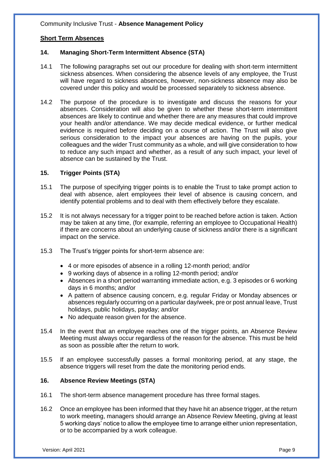# **Short Term Absences**

#### **14. Managing Short-Term Intermittent Absence (STA)**

- 14.1 The following paragraphs set out our procedure for dealing with short-term intermittent sickness absences. When considering the absence levels of any employee, the Trust will have regard to sickness absences, however, non-sickness absence may also be covered under this policy and would be processed separately to sickness absence.
- 14.2 The purpose of the procedure is to investigate and discuss the reasons for your absences. Consideration will also be given to whether these short-term intermittent absences are likely to continue and whether there are any measures that could improve your health and/or attendance. We may decide medical evidence, or further medical evidence is required before deciding on a course of action. The Trust will also give serious consideration to the impact your absences are having on the pupils, your colleagues and the wider Trust community as a whole, and will give consideration to how to reduce any such impact and whether, as a result of any such impact, your level of absence can be sustained by the Trust.

## **15. Trigger Points (STA)**

- 15.1 The purpose of specifying trigger points is to enable the Trust to take prompt action to deal with absence, alert employees their level of absence is causing concern, and identify potential problems and to deal with them effectively before they escalate.
- 15.2 It is not always necessary for a trigger point to be reached before action is taken. Action may be taken at any time, (for example, referring an employee to Occupational Health) if there are concerns about an underlying cause of sickness and/or there is a significant impact on the service.
- 15.3 The Trust's trigger points for short-term absence are:
	- 4 or more episodes of absence in a rolling 12-month period; and/or
	- 9 working days of absence in a rolling 12-month period; and/or
	- Absences in a short period warranting immediate action, e.g. 3 episodes or 6 working days in 6 months; and/or
	- A pattern of absence causing concern, e.g. regular Friday or Monday absences or absences regularly occurring on a particular day/week, pre or post annual leave, Trust holidays, public holidays, payday; and/or
	- No adequate reason given for the absence.
- 15.4 In the event that an employee reaches one of the trigger points, an Absence Review Meeting must always occur regardless of the reason for the absence. This must be held as soon as possible after the return to work.
- 15.5 If an employee successfully passes a formal monitoring period, at any stage, the absence triggers will reset from the date the monitoring period ends.

#### **16. Absence Review Meetings (STA)**

- 16.1 The short-term absence management procedure has three formal stages.
- 16.2 Once an employee has been informed that they have hit an absence trigger, at the return to work meeting, managers should arrange an Absence Review Meeting, giving at least 5 working days' notice to allow the employee time to arrange either union representation, or to be accompanied by a work colleague.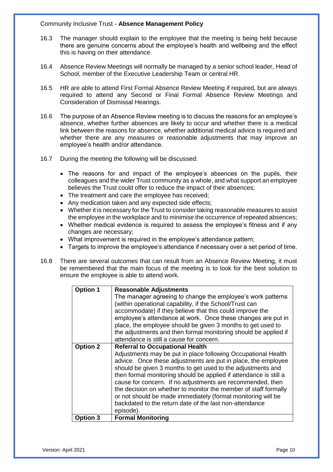- 16.3 The manager should explain to the employee that the meeting is being held because there are genuine concerns about the employee's health and wellbeing and the effect this is having on their attendance.
- 16.4 Absence Review Meetings will normally be managed by a senior school leader, Head of School, member of the Executive Leadership Team or central HR.
- 16.5 HR are able to attend First Formal Absence Review Meeting if required, but are always required to attend any Second or Final Formal Absence Review Meetings and Consideration of Dismissal Hearings.
- 16.6 The purpose of an Absence Review meeting is to discuss the reasons for an employee's absence, whether further absences are likely to occur and whether there is a medical link between the reasons for absence, whether additional medical advice is required and whether there are any measures or reasonable adjustments that may improve an employee's health and/or attendance.
- 16.7 During the meeting the following will be discussed:
	- The reasons for and impact of the employee's absences on the pupils, their colleagues and the wider Trust community as a whole, and what support an employee believes the Trust could offer to reduce the impact of their absences;
	- The treatment and care the employee has received;
	- Any medication taken and any expected side effects:
	- Whether it is necessary for the Trust to consider taking reasonable measures to assist the employee in the workplace and to minimise the occurrence of repeated absences;
	- Whether medical evidence is required to assess the employee's fitness and if any changes are necessary;
	- What improvement is required in the employee's attendance pattern;
	- Targets to improve the employee's attendance if necessary over a set period of time.
- 16.8 There are several outcomes that can result from an Absence Review Meeting, it must be remembered that the main focus of the meeting is to look for the best solution to ensure the employee is able to attend work.

| <b>Option 1</b> | <b>Reasonable Adjustments</b>                                     |  |  |  |
|-----------------|-------------------------------------------------------------------|--|--|--|
|                 | The manager agreeing to change the employee's work patterns       |  |  |  |
|                 | (within operational capability, if the School/Trust can           |  |  |  |
|                 | accommodate) if they believe that this could improve the          |  |  |  |
|                 | employee's attendance at work. Once these changes are put in      |  |  |  |
|                 | place, the employee should be given 3 months to get used to       |  |  |  |
|                 | the adjustments and then formal monitoring should be applied if   |  |  |  |
|                 | attendance is still a cause for concern.                          |  |  |  |
| <b>Option 2</b> | <b>Referral to Occupational Health</b>                            |  |  |  |
|                 | Adjustments may be put in place following Occupational Health     |  |  |  |
|                 | advice. Once these adjustments are put in place, the employee     |  |  |  |
|                 | should be given 3 months to get used to the adjustments and       |  |  |  |
|                 | then formal monitoring should be applied if attendance is still a |  |  |  |
|                 | cause for concern. If no adjustments are recommended, then        |  |  |  |
|                 | the decision on whether to monitor the member of staff formally   |  |  |  |
|                 | or not should be made immediately (formal monitoring will be      |  |  |  |
|                 | backdated to the return date of the last non-attendance           |  |  |  |
|                 | episode).                                                         |  |  |  |
| Option 3        | <b>Formal Monitoring</b>                                          |  |  |  |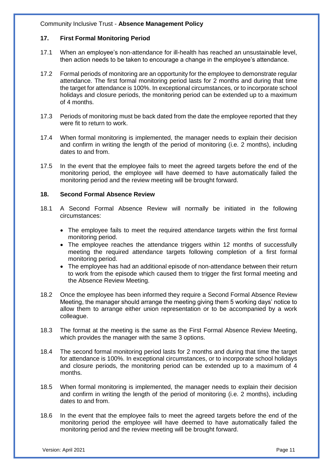## **17. First Formal Monitoring Period**

- 17.1 When an employee's non-attendance for ill-health has reached an unsustainable level, then action needs to be taken to encourage a change in the employee's attendance.
- 17.2 Formal periods of monitoring are an opportunity for the employee to demonstrate regular attendance. The first formal monitoring period lasts for 2 months and during that time the target for attendance is 100%. In exceptional circumstances, or to incorporate school holidays and closure periods, the monitoring period can be extended up to a maximum of 4 months.
- 17.3 Periods of monitoring must be back dated from the date the employee reported that they were fit to return to work.
- 17.4 When formal monitoring is implemented, the manager needs to explain their decision and confirm in writing the length of the period of monitoring (i.e. 2 months), including dates to and from.
- 17.5 In the event that the employee fails to meet the agreed targets before the end of the monitoring period, the employee will have deemed to have automatically failed the monitoring period and the review meeting will be brought forward.

#### **18. Second Formal Absence Review**

- 18.1 A Second Formal Absence Review will normally be initiated in the following circumstances:
	- The employee fails to meet the required attendance targets within the first formal monitoring period.
	- The employee reaches the attendance triggers within 12 months of successfully meeting the required attendance targets following completion of a first formal monitoring period.
	- The employee has had an additional episode of non-attendance between their return to work from the episode which caused them to trigger the first formal meeting and the Absence Review Meeting.
- 18.2 Once the employee has been informed they require a Second Formal Absence Review Meeting, the manager should arrange the meeting giving them 5 working days' notice to allow them to arrange either union representation or to be accompanied by a work colleague.
- 18.3 The format at the meeting is the same as the First Formal Absence Review Meeting, which provides the manager with the same 3 options.
- 18.4 The second formal monitoring period lasts for 2 months and during that time the target for attendance is 100%. In exceptional circumstances, or to incorporate school holidays and closure periods, the monitoring period can be extended up to a maximum of 4 months.
- 18.5 When formal monitoring is implemented, the manager needs to explain their decision and confirm in writing the length of the period of monitoring (i.e. 2 months), including dates to and from.
- 18.6 In the event that the employee fails to meet the agreed targets before the end of the monitoring period the employee will have deemed to have automatically failed the monitoring period and the review meeting will be brought forward.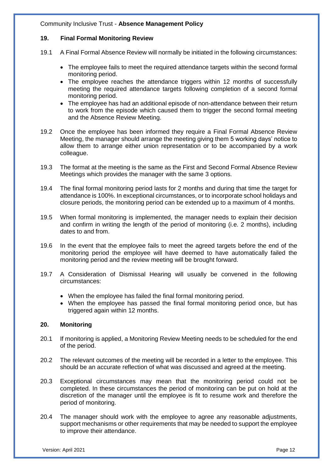# **19. Final Formal Monitoring Review**

- 19.1 A Final Formal Absence Review will normally be initiated in the following circumstances:
	- The employee fails to meet the required attendance targets within the second formal monitoring period.
	- The employee reaches the attendance triggers within 12 months of successfully meeting the required attendance targets following completion of a second formal monitoring period.
	- The employee has had an additional episode of non-attendance between their return to work from the episode which caused them to trigger the second formal meeting and the Absence Review Meeting.
- 19.2 Once the employee has been informed they require a Final Formal Absence Review Meeting, the manager should arrange the meeting giving them 5 working days' notice to allow them to arrange either union representation or to be accompanied by a work colleague.
- 19.3 The format at the meeting is the same as the First and Second Formal Absence Review Meetings which provides the manager with the same 3 options.
- 19.4 The final formal monitoring period lasts for 2 months and during that time the target for attendance is 100%. In exceptional circumstances, or to incorporate school holidays and closure periods, the monitoring period can be extended up to a maximum of 4 months.
- 19.5 When formal monitoring is implemented, the manager needs to explain their decision and confirm in writing the length of the period of monitoring (i.e. 2 months), including dates to and from.
- 19.6 In the event that the employee fails to meet the agreed targets before the end of the monitoring period the employee will have deemed to have automatically failed the monitoring period and the review meeting will be brought forward.
- 19.7 A Consideration of Dismissal Hearing will usually be convened in the following circumstances:
	- When the employee has failed the final formal monitoring period.
	- When the employee has passed the final formal monitoring period once, but has triggered again within 12 months.

#### **20. Monitoring**

- 20.1 If monitoring is applied, a Monitoring Review Meeting needs to be scheduled for the end of the period.
- 20.2 The relevant outcomes of the meeting will be recorded in a letter to the employee. This should be an accurate reflection of what was discussed and agreed at the meeting.
- 20.3 Exceptional circumstances may mean that the monitoring period could not be completed. In these circumstances the period of monitoring can be put on hold at the discretion of the manager until the employee is fit to resume work and therefore the period of monitoring.
- 20.4 The manager should work with the employee to agree any reasonable adjustments, support mechanisms or other requirements that may be needed to support the employee to improve their attendance.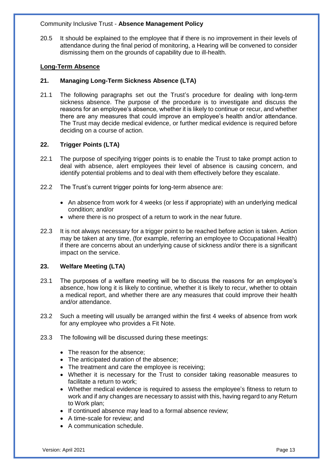20.5 It should be explained to the employee that if there is no improvement in their levels of attendance during the final period of monitoring, a Hearing will be convened to consider dismissing them on the grounds of capability due to ill-health.

#### **Long-Term Absence**

# **21. Managing Long-Term Sickness Absence (LTA)**

21.1 The following paragraphs set out the Trust's procedure for dealing with long-term sickness absence. The purpose of the procedure is to investigate and discuss the reasons for an employee's absence, whether it is likely to continue or recur, and whether there are any measures that could improve an employee's health and/or attendance. The Trust may decide medical evidence, or further medical evidence is required before deciding on a course of action.

# **22. Trigger Points (LTA)**

- 22.1 The purpose of specifying trigger points is to enable the Trust to take prompt action to deal with absence, alert employees their level of absence is causing concern, and identify potential problems and to deal with them effectively before they escalate.
- 22.2 The Trust's current trigger points for long-term absence are:
	- An absence from work for 4 weeks (or less if appropriate) with an underlying medical condition; and/or
	- where there is no prospect of a return to work in the near future.
- 22.3 It is not always necessary for a trigger point to be reached before action is taken. Action may be taken at any time, (for example, referring an employee to Occupational Health) if there are concerns about an underlying cause of sickness and/or there is a significant impact on the service.

#### **23. Welfare Meeting (LTA)**

- 23.1 The purposes of a welfare meeting will be to discuss the reasons for an employee's absence, how long it is likely to continue, whether it is likely to recur, whether to obtain a medical report, and whether there are any measures that could improve their health and/or attendance.
- 23.2 Such a meeting will usually be arranged within the first 4 weeks of absence from work for any employee who provides a Fit Note.
- 23.3 The following will be discussed during these meetings:
	- The reason for the absence:
	- The anticipated duration of the absence;
	- The treatment and care the employee is receiving;
	- Whether it is necessary for the Trust to consider taking reasonable measures to facilitate a return to work;
	- Whether medical evidence is required to assess the employee's fitness to return to work and if any changes are necessary to assist with this, having regard to any Return to Work plan;
	- If continued absence may lead to a formal absence review;
	- A time-scale for review; and
	- A communication schedule.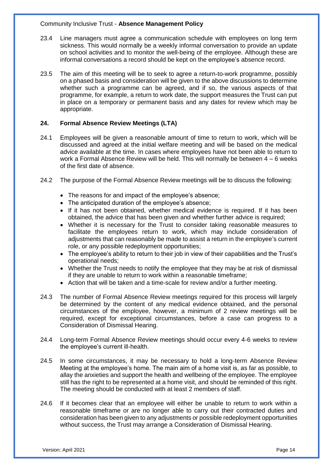- 23.4 Line managers must agree a communication schedule with employees on long term sickness. This would normally be a weekly informal conversation to provide an update on school activities and to monitor the well-being of the employee. Although these are informal conversations a record should be kept on the employee's absence record.
- 23.5 The aim of this meeting will be to seek to agree a return-to-work programme, possibly on a phased basis and consideration will be given to the above discussions to determine whether such a programme can be agreed, and if so, the various aspects of that programme, for example, a return to work date, the support measures the Trust can put in place on a temporary or permanent basis and any dates for review which may be appropriate.

## **24. Formal Absence Review Meetings (LTA)**

- 24.1 Employees will be given a reasonable amount of time to return to work, which will be discussed and agreed at the initial welfare meeting and will be based on the medical advice available at the time. In cases where employees have not been able to return to work a Formal Absence Review will be held. This will normally be between 4 – 6 weeks of the first date of absence.
- 24.2 The purpose of the Formal Absence Review meetings will be to discuss the following:
	- The reasons for and impact of the employee's absence;
	- The anticipated duration of the employee's absence;
	- If it has not been obtained, whether medical evidence is required. If it has been obtained, the advice that has been given and whether further advice is required;
	- Whether it is necessary for the Trust to consider taking reasonable measures to facilitate the employees return to work, which may include consideration of adjustments that can reasonably be made to assist a return in the employee's current role, or any possible redeployment opportunities;
	- The employee's ability to return to their job in view of their capabilities and the Trust's operational needs;
	- Whether the Trust needs to notify the employee that they may be at risk of dismissal if they are unable to return to work within a reasonable timeframe;
	- Action that will be taken and a time-scale for review and/or a further meeting.
- 24.3 The number of Formal Absence Review meetings required for this process will largely be determined by the content of any medical evidence obtained, and the personal circumstances of the employee, however, a minimum of 2 review meetings will be required, except for exceptional circumstances, before a case can progress to a Consideration of Dismissal Hearing.
- 24.4 Long-term Formal Absence Review meetings should occur every 4-6 weeks to review the employee's current ill-health.
- 24.5 In some circumstances, it may be necessary to hold a long-term Absence Review Meeting at the employee's home. The main aim of a home visit is, as far as possible, to allay the anxieties and support the health and wellbeing of the employee. The employee still has the right to be represented at a home visit, and should be reminded of this right. The meeting should be conducted with at least 2 members of staff.
- 24.6 If it becomes clear that an employee will either be unable to return to work within a reasonable timeframe or are no longer able to carry out their contracted duties and consideration has been given to any adjustments or possible redeployment opportunities without success, the Trust may arrange a Consideration of Dismissal Hearing.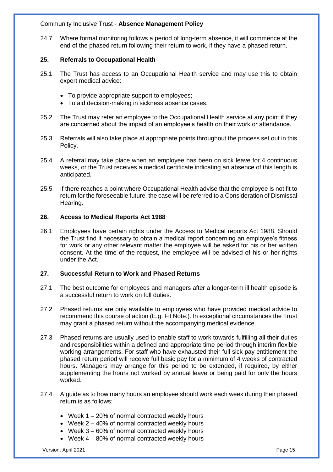24.7 Where formal monitoring follows a period of long-term absence, it will commence at the end of the phased return following their return to work, if they have a phased return.

# **25. Referrals to Occupational Health**

- 25.1 The Trust has access to an Occupational Health service and may use this to obtain expert medical advice:
	- To provide appropriate support to employees;
	- To aid decision-making in sickness absence cases.
- 25.2 The Trust may refer an employee to the Occupational Health service at any point if they are concerned about the impact of an employee's health on their work or attendance.
- 25.3 Referrals will also take place at appropriate points throughout the process set out in this Policy.
- 25.4 A referral may take place when an employee has been on sick leave for 4 continuous weeks, or the Trust receives a medical certificate indicating an absence of this length is anticipated.
- 25.5 If there reaches a point where Occupational Health advise that the employee is not fit to return for the foreseeable future, the case will be referred to a Consideration of Dismissal Hearing.

#### **26. Access to Medical Reports Act 1988**

26.1 Employees have certain rights under the Access to Medical reports Act 1988. Should the Trust find it necessary to obtain a medical report concerning an employee's fitness for work or any other relevant matter the employee will be asked for his or her written consent. At the time of the request, the employee will be advised of his or her rights under the Act.

# **27. Successful Return to Work and Phased Returns**

- 27.1 The best outcome for employees and managers after a longer-term ill health episode is a successful return to work on full duties.
- 27.2 Phased returns are only available to employees who have provided medical advice to recommend this course of action (E.g. Fit Note.). In exceptional circumstances the Trust may grant a phased return without the accompanying medical evidence.
- 27.3 Phased returns are usually used to enable staff to work towards fulfilling all their duties and responsibilities within a defined and appropriate time period through interim flexible working arrangements. For staff who have exhausted their full sick pay entitlement the phased return period will receive full basic pay for a minimum of 4 weeks of contracted hours. Managers may arrange for this period to be extended, if required, by either supplementing the hours not worked by annual leave or being paid for only the hours worked.
- 27.4 A guide as to how many hours an employee should work each week during their phased return is as follows:
	- $\bullet$  Week 1 20% of normal contracted weekly hours
	- Week 2 40% of normal contracted weekly hours
	- Week 3 60% of normal contracted weekly hours
	- $\bullet$  Week 4 80% of normal contracted weekly hours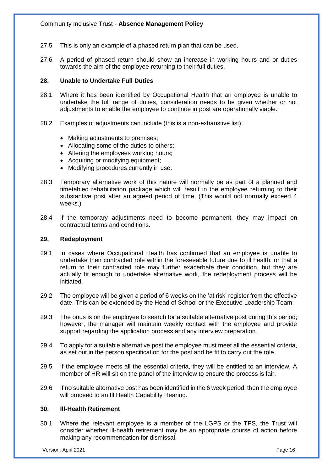- 27.5 This is only an example of a phased return plan that can be used.
- 27.6 A period of phased return should show an increase in working hours and or duties towards the aim of the employee returning to their full duties.

## **28. Unable to Undertake Full Duties**

- 28.1 Where it has been identified by Occupational Health that an employee is unable to undertake the full range of duties, consideration needs to be given whether or not adjustments to enable the employee to continue in post are operationally viable.
- 28.2 Examples of adjustments can include (this is a non-exhaustive list):
	- Making adjustments to premises;
	- Allocating some of the duties to others;
	- Altering the employees working hours;
	- Acquiring or modifying equipment;
	- Modifying procedures currently in use.
- 28.3 Temporary alternative work of this nature will normally be as part of a planned and timetabled rehabilitation package which will result in the employee returning to their substantive post after an agreed period of time. (This would not normally exceed 4 weeks.)
- 28.4 If the temporary adjustments need to become permanent, they may impact on contractual terms and conditions.

#### **29. Redeployment**

- 29.1 In cases where Occupational Health has confirmed that an employee is unable to undertake their contracted role within the foreseeable future due to ill health, or that a return to their contracted role may further exacerbate their condition, but they are actually fit enough to undertake alternative work, the redeployment process will be initiated.
- 29.2 The employee will be given a period of 6 weeks on the 'at risk' register from the effective date. This can be extended by the Head of School or the Executive Leadership Team.
- 29.3 The onus is on the employee to search for a suitable alternative post during this period; however, the manager will maintain weekly contact with the employee and provide support regarding the application process and any interview preparation.
- 29.4 To apply for a suitable alternative post the employee must meet all the essential criteria, as set out in the person specification for the post and be fit to carry out the role.
- 29.5 If the employee meets all the essential criteria, they will be entitled to an interview. A member of HR will sit on the panel of the interview to ensure the process is fair.
- 29.6 If no suitable alternative post has been identified in the 6 week period, then the employee will proceed to an Ill Health Capability Hearing.

#### **30. Ill-Health Retirement**

30.1 Where the relevant employee is a member of the LGPS or the TPS, the Trust will consider whether ill-health retirement may be an appropriate course of action before making any recommendation for dismissal.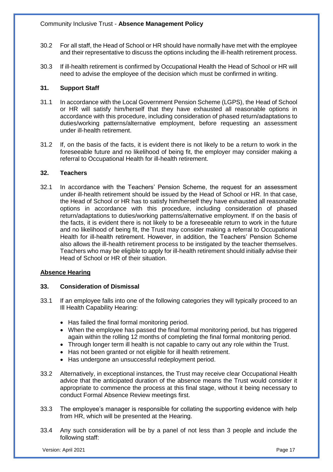- 30.2 For all staff, the Head of School or HR should have normally have met with the employee and their representative to discuss the options including the ill-health retirement process.
- 30.3 If ill-health retirement is confirmed by Occupational Health the Head of School or HR will need to advise the employee of the decision which must be confirmed in writing.

# **31. Support Staff**

- 31.1 In accordance with the Local Government Pension Scheme (LGPS), the Head of School or HR will satisfy him/herself that they have exhausted all reasonable options in accordance with this procedure, including consideration of phased return/adaptations to duties/working patterns/alternative employment, before requesting an assessment under ill-health retirement.
- 31.2 If, on the basis of the facts, it is evident there is not likely to be a return to work in the foreseeable future and no likelihood of being fit, the employer may consider making a referral to Occupational Health for ill-health retirement.

# **32. Teachers**

32.1 In accordance with the Teachers' Pension Scheme, the request for an assessment under ill-health retirement should be issued by the Head of School or HR. In that case, the Head of School or HR has to satisfy him/herself they have exhausted all reasonable options in accordance with this procedure, including consideration of phased return/adaptations to duties/working patterns/alternative employment. If on the basis of the facts, it is evident there is not likely to be a foreseeable return to work in the future and no likelihood of being fit, the Trust may consider making a referral to Occupational Health for ill-health retirement. However, in addition, the Teachers' Pension Scheme also allows the ill-health retirement process to be instigated by the teacher themselves. Teachers who may be eligible to apply for ill-health retirement should initially advise their Head of School or HR of their situation.

# **Absence Hearing**

# **33. Consideration of Dismissal**

- 33.1 If an employee falls into one of the following categories they will typically proceed to an Ill Health Capability Hearing:
	- Has failed the final formal monitoring period.
	- When the employee has passed the final formal monitoring period, but has triggered again within the rolling 12 months of completing the final formal monitoring period.
	- Through longer term ill health is not capable to carry out any role within the Trust.
	- Has not been granted or not eligible for ill health retirement.
	- Has undergone an unsuccessful redeployment period.
- 33.2 Alternatively, in exceptional instances, the Trust may receive clear Occupational Health advice that the anticipated duration of the absence means the Trust would consider it appropriate to commence the process at this final stage, without it being necessary to conduct Formal Absence Review meetings first.
- 33.3 The employee's manager is responsible for collating the supporting evidence with help from HR, which will be presented at the Hearing.
- 33.4 Any such consideration will be by a panel of not less than 3 people and include the following staff: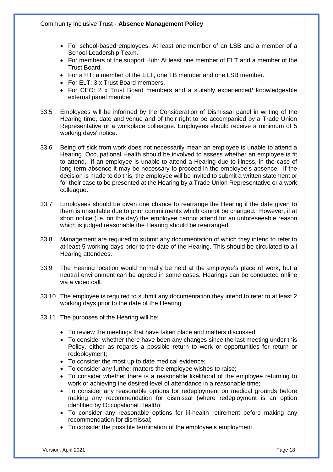- For school-based employees: At least one member of an LSB and a member of a School Leadership Team.
- For members of the support Hub: At least one member of ELT and a member of the Trust Board.
- For a HT: a member of the ELT, one TB member and one LSB member.
- For ELT: 3 x Trust Board members.
- For CEO: 2 x Trust Board members and a suitably experienced/ knowledgeable external panel member.
- 33.5 Employees will be informed by the Consideration of Dismissal panel in writing of the Hearing time, date and venue and of their right to be accompanied by a Trade Union Representative or a workplace colleague. Employees should receive a minimum of 5 working days' notice.
- 33.6 Being off sick from work does not necessarily mean an employee is unable to attend a Hearing. Occupational Health should be involved to assess whether an employee is fit to attend. If an employee is unable to attend a Hearing due to illness, in the case of long-term absence it may be necessary to proceed in the employee's absence. If the decision is made to do this, the employee will be invited to submit a written statement or for their case to be presented at the Hearing by a Trade Union Representative or a work colleague.
- 33.7 Employees should be given one chance to rearrange the Hearing if the date given to them is unsuitable due to prior commitments which cannot be changed. However, if at short notice (i.e. on the day) the employee cannot attend for an unforeseeable reason which is judged reasonable the Hearing should be rearranged.
- 33.8 Management are required to submit any documentation of which they intend to refer to at least 5 working days prior to the date of the Hearing. This should be circulated to all Hearing attendees.
- 33.9 The Hearing location would normally be held at the employee's place of work, but a neutral environment can be agreed in some cases. Hearings can be conducted online via a video call.
- 33.10 The employee is required to submit any documentation they intend to refer to at least 2 working days prior to the date of the Hearing.
- 33.11 The purposes of the Hearing will be:
	- To review the meetings that have taken place and matters discussed;
	- To consider whether there have been any changes since the last meeting under this Policy, either as regards a possible return to work or opportunities for return or redeployment;
	- To consider the most up to date medical evidence;
	- To consider any further matters the employee wishes to raise;
	- To consider whether there is a reasonable likelihood of the employee returning to work or achieving the desired level of attendance in a reasonable time;
	- To consider any reasonable options for redeployment on medical grounds before making any recommendation for dismissal (where redeployment is an option identified by Occupational Health);
	- To consider any reasonable options for ill-health retirement before making any recommendation for dismissal;
	- To consider the possible termination of the employee's employment.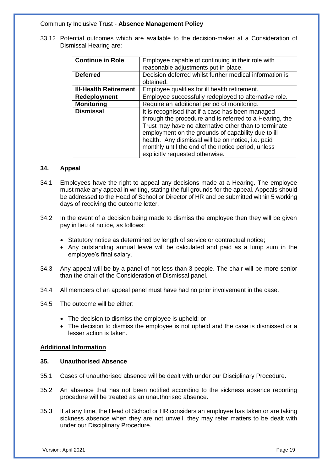33.12 Potential outcomes which are available to the decision-maker at a Consideration of Dismissal Hearing are:

| <b>Continue in Role</b>      | Employee capable of continuing in their role with       |
|------------------------------|---------------------------------------------------------|
|                              | reasonable adjustments put in place.                    |
| <b>Deferred</b>              | Decision deferred whilst further medical information is |
|                              | obtained.                                               |
| <b>III-Health Retirement</b> | Employee qualifies for ill health retirement.           |
| Redeployment                 | Employee successfully redeployed to alternative role.   |
| <b>Monitoring</b>            | Require an additional period of monitoring.             |
| <b>Dismissal</b>             | It is recognised that if a case has been managed        |
|                              | through the procedure and is referred to a Hearing, the |
|                              | Trust may have no alternative other than to terminate   |
|                              | employment on the grounds of capability due to ill      |
|                              | health. Any dismissal will be on notice, i.e. paid      |
|                              | monthly until the end of the notice period, unless      |
|                              | explicitly requested otherwise.                         |

#### **34. Appeal**

- 34.1 Employees have the right to appeal any decisions made at a Hearing. The employee must make any appeal in writing, stating the full grounds for the appeal. Appeals should be addressed to the Head of School or Director of HR and be submitted within 5 working days of receiving the outcome letter.
- 34.2 In the event of a decision being made to dismiss the employee then they will be given pay in lieu of notice, as follows:
	- Statutory notice as determined by length of service or contractual notice;
	- Any outstanding annual leave will be calculated and paid as a lump sum in the employee's final salary.
- 34.3 Any appeal will be by a panel of not less than 3 people. The chair will be more senior than the chair of the Consideration of Dismissal panel.
- 34.4 All members of an appeal panel must have had no prior involvement in the case.
- 34.5 The outcome will be either:
	- The decision to dismiss the employee is upheld; or
	- The decision to dismiss the employee is not upheld and the case is dismissed or a lesser action is taken.

#### **Additional Information**

## **35. Unauthorised Absence**

- 35.1 Cases of unauthorised absence will be dealt with under our Disciplinary Procedure.
- 35.2 An absence that has not been notified according to the sickness absence reporting procedure will be treated as an unauthorised absence.
- 35.3 If at any time, the Head of School or HR considers an employee has taken or are taking sickness absence when they are not unwell, they may refer matters to be dealt with under our Disciplinary Procedure.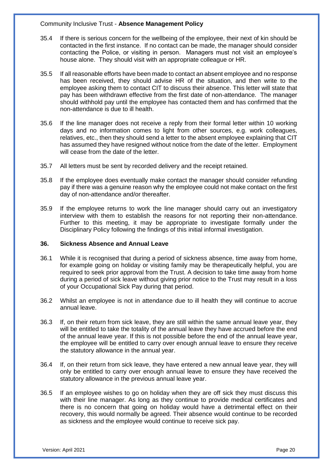- 35.4 If there is serious concern for the wellbeing of the employee, their next of kin should be contacted in the first instance. If no contact can be made, the manager should consider contacting the Police, or visiting in person. Managers must not visit an employee's house alone. They should visit with an appropriate colleague or HR.
- 35.5 If all reasonable efforts have been made to contact an absent employee and no response has been received, they should advise HR of the situation, and then write to the employee asking them to contact CIT to discuss their absence. This letter will state that pay has been withdrawn effective from the first date of non-attendance. The manager should withhold pay until the employee has contacted them and has confirmed that the non-attendance is due to ill health.
- 35.6 If the line manager does not receive a reply from their formal letter within 10 working days and no information comes to light from other sources, e.g. work colleagues, relatives, etc., then they should send a letter to the absent employee explaining that CIT has assumed they have resigned without notice from the date of the letter. Employment will cease from the date of the letter.
- 35.7 All letters must be sent by recorded delivery and the receipt retained.
- 35.8 If the employee does eventually make contact the manager should consider refunding pay if there was a genuine reason why the employee could not make contact on the first day of non-attendance and/or thereafter.
- 35.9 If the employee returns to work the line manager should carry out an investigatory interview with them to establish the reasons for not reporting their non-attendance. Further to this meeting, it may be appropriate to investigate formally under the Disciplinary Policy following the findings of this initial informal investigation.

#### **36. Sickness Absence and Annual Leave**

- 36.1 While it is recognised that during a period of sickness absence, time away from home, for example going on holiday or visiting family may be therapeutically helpful, you are required to seek prior approval from the Trust. A decision to take time away from home during a period of sick leave without giving prior notice to the Trust may result in a loss of your Occupational Sick Pay during that period.
- 36.2 Whilst an employee is not in attendance due to ill health they will continue to accrue annual leave.
- 36.3 If, on their return from sick leave, they are still within the same annual leave year, they will be entitled to take the totality of the annual leave they have accrued before the end of the annual leave year. If this is not possible before the end of the annual leave year, the employee will be entitled to carry over enough annual leave to ensure they receive the statutory allowance in the annual year.
- 36.4 If, on their return from sick leave, they have entered a new annual leave year, they will only be entitled to carry over enough annual leave to ensure they have received the statutory allowance in the previous annual leave year.
- 36.5 If an employee wishes to go on holiday when they are off sick they must discuss this with their line manager. As long as they continue to provide medical certificates and there is no concern that going on holiday would have a detrimental effect on their recovery, this would normally be agreed. Their absence would continue to be recorded as sickness and the employee would continue to receive sick pay.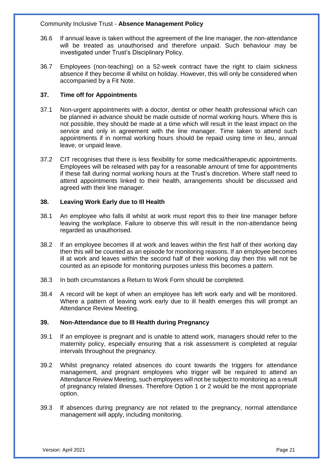- 36.6 If annual leave is taken without the agreement of the line manager, the non-attendance will be treated as unauthorised and therefore unpaid. Such behaviour may be investigated under Trust's Disciplinary Policy.
- 36.7 Employees (non-teaching) on a 52-week contract have the right to claim sickness absence if they become ill whilst on holiday. However, this will only be considered when accompanied by a Fit Note.

# **37. Time off for Appointments**

- 37.1 Non-urgent appointments with a doctor, dentist or other health professional which can be planned in advance should be made outside of normal working hours. Where this is not possible, they should be made at a time which will result in the least impact on the service and only in agreement with the line manager. Time taken to attend such appointments if in normal working hours should be repaid using time in lieu, annual leave, or unpaid leave.
- 37.2 CIT recognises that there is less flexibility for some medical/therapeutic appointments. Employees will be released with pay for a reasonable amount of time for appointments if these fall during normal working hours at the Trust's discretion. Where staff need to attend appointments linked to their health, arrangements should be discussed and agreed with their line manager.

## **38. Leaving Work Early due to Ill Health**

- 38.1 An employee who falls ill whilst at work must report this to their line manager before leaving the workplace. Failure to observe this will result in the non-attendance being regarded as unauthorised.
- 38.2 If an employee becomes ill at work and leaves within the first half of their working day then this will be counted as an episode for monitoring reasons. If an employee becomes ill at work and leaves within the second half of their working day then this will not be counted as an episode for monitoring purposes unless this becomes a pattern.
- 38.3 In both circumstances a Return to Work Form should be completed.
- 38.4 A record will be kept of when an employee has left work early and will be monitored. Where a pattern of leaving work early due to ill health emerges this will prompt an Attendance Review Meeting.

# **39. Non-Attendance due to Ill Health during Pregnancy**

- 39.1 If an employee is pregnant and is unable to attend work, managers should refer to the maternity policy, especially ensuring that a risk assessment is completed at regular intervals throughout the pregnancy.
- 39.2 Whilst pregnancy related absences do count towards the triggers for attendance management, and pregnant employees who trigger will be required to attend an Attendance Review Meeting, such employees will not be subject to monitoring as a result of pregnancy related illnesses. Therefore Option 1 or 2 would be the most appropriate option.
- 39.3 If absences during pregnancy are not related to the pregnancy, normal attendance management will apply, including monitoring.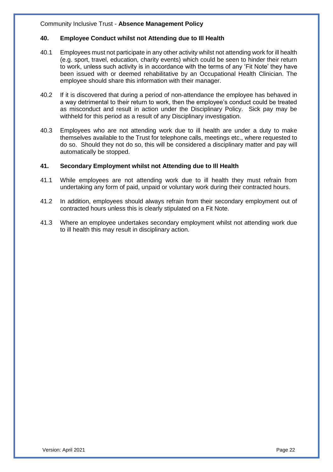#### **40. Employee Conduct whilst not Attending due to Ill Health**

- 40.1 Employees must not participate in any other activity whilst not attending work for ill health (e.g. sport, travel, education, charity events) which could be seen to hinder their return to work, unless such activity is in accordance with the terms of any 'Fit Note' they have been issued with or deemed rehabilitative by an Occupational Health Clinician. The employee should share this information with their manager.
- 40.2 If it is discovered that during a period of non-attendance the employee has behaved in a way detrimental to their return to work, then the employee's conduct could be treated as misconduct and result in action under the Disciplinary Policy. Sick pay may be withheld for this period as a result of any Disciplinary investigation.
- 40.3 Employees who are not attending work due to ill health are under a duty to make themselves available to the Trust for telephone calls, meetings etc., where requested to do so. Should they not do so, this will be considered a disciplinary matter and pay will automatically be stopped.

# **41. Secondary Employment whilst not Attending due to Ill Health**

- 41.1 While employees are not attending work due to ill health they must refrain from undertaking any form of paid, unpaid or voluntary work during their contracted hours.
- 41.2 In addition, employees should always refrain from their secondary employment out of contracted hours unless this is clearly stipulated on a Fit Note.
- 41.3 Where an employee undertakes secondary employment whilst not attending work due to ill health this may result in disciplinary action.